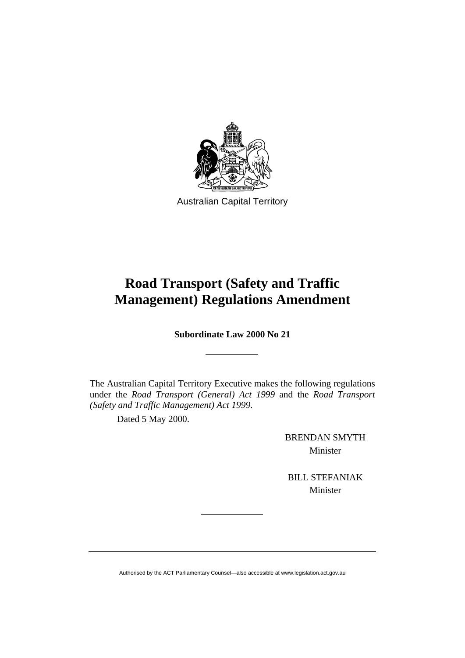

Australian Capital Territory

# **Road Transport (Safety and Traffic Management) Regulations Amendment**

**Subordinate Law 2000 No 21** 

The Australian Capital Territory Executive makes the following regulations under the *Road Transport (General) Act 1999* and the *Road Transport (Safety and Traffic Management) Act 1999*.

Dated 5 May 2000.

BRENDAN SMYTH Minister

BILL STEFANIAK Minister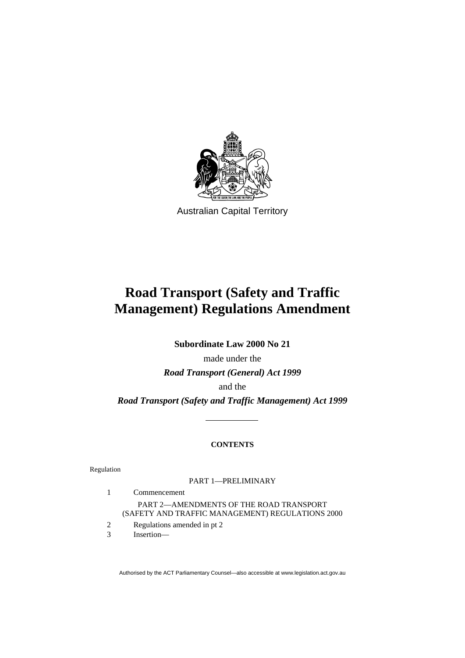

Australian Capital Territory

# **Road Transport (Safety and Traffic Management) Regulations Amendment**

**Subordinate Law 2000 No 21** 

made under the *Road Transport (General) Act 1999*  and the *Road Transport (Safety and Traffic Management) Act 1999*

## **CONTENTS**

Regulation

PART 1—PRELIMINARY

 1 Commencement PART 2—AMENDMENTS OF THE ROAD TRANSPORT (SAFETY AND TRAFFIC MANAGEMENT) REGULATIONS 2000

- 2 Regulations amended in pt 2
- 3 Insertion—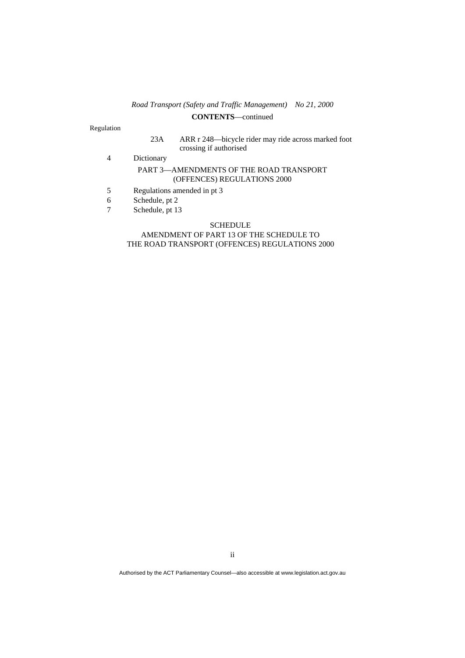## *Road Transport (Safety and Traffic Management) No 21, 2000*  **CONTENTS**—continued

#### Regulation

- 23A ARR r 248—bicycle rider may ride across marked foot crossing if authorised
- 4 Dictionary

#### PART 3—AMENDMENTS OF THE ROAD TRANSPORT (OFFENCES) REGULATIONS 2000

- 5 Regulations amended in pt 3
- 6 Schedule, pt 2
- 7 Schedule, pt 13

#### SCHEDULE

#### AMENDMENT OF PART 13 OF THE SCHEDULE TO THE ROAD TRANSPORT (OFFENCES) REGULATIONS 2000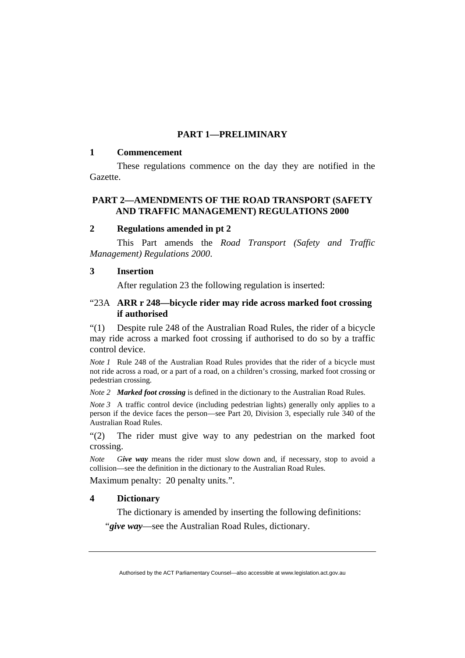# **PART 1—PRELIMINARY**

### **1 Commencement**

 These regulations commence on the day they are notified in the Gazette.

## **PART 2—AMENDMENTS OF THE ROAD TRANSPORT (SAFETY AND TRAFFIC MANAGEMENT) REGULATIONS 2000**

## **2 Regulations amended in pt 2**

This Part amends the *Road Transport (Safety and Traffic Management) Regulations 2000*.

## **3 Insertion**

After regulation 23 the following regulation is inserted:

## "23A **ARR r 248—bicycle rider may ride across marked foot crossing if authorised**

"(1) Despite rule 248 of the Australian Road Rules, the rider of a bicycle may ride across a marked foot crossing if authorised to do so by a traffic control device.

*Note 1* Rule 248 of the Australian Road Rules provides that the rider of a bicycle must not ride across a road, or a part of a road, on a children's crossing, marked foot crossing or pedestrian crossing.

*Note 2 Marked foot crossing* is defined in the dictionary to the Australian Road Rules.

*Note 3* A traffic control device (including pedestrian lights) generally only applies to a person if the device faces the person—see Part 20, Division 3, especially rule 340 of the Australian Road Rules.

"(2) The rider must give way to any pedestrian on the marked foot crossing.

*Note Give way* means the rider must slow down and, if necessary, stop to avoid a collision—see the definition in the dictionary to the Australian Road Rules.

Maximum penalty: 20 penalty units.".

## **4 Dictionary**

 The dictionary is amended by inserting the following definitions: "*give way*—see the Australian Road Rules, dictionary.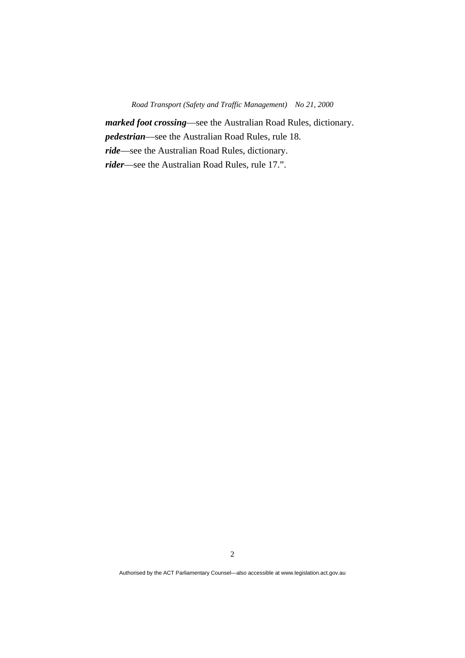*marked foot crossing*—see the Australian Road Rules, dictionary. *pedestrian*—see the Australian Road Rules, rule 18. *ride*—see the Australian Road Rules, dictionary. *rider*—see the Australian Road Rules, rule 17.".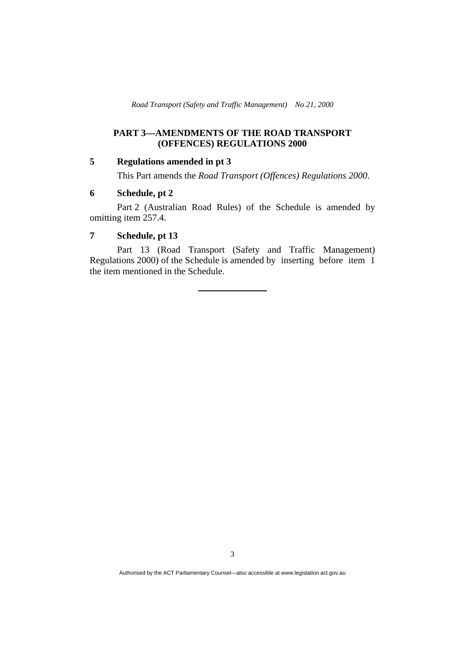*Road Transport (Safety and Traffic Management) No 21, 2000* 

# **PART 3—AMENDMENTS OF THE ROAD TRANSPORT (OFFENCES) REGULATIONS 2000**

# **5 Regulations amended in pt 3**

This Part amends the *Road Transport (Offences) Regulations 2000*.

## **6 Schedule, pt 2**

 Part 2 (Australian Road Rules) of the Schedule is amended by omitting item 257.4.

# **7 Schedule, pt 13**

 Part 13 (Road Transport (Safety and Traffic Management) Regulations 2000) of the Schedule is amended by inserting before item 1 the item mentioned in the Schedule.

3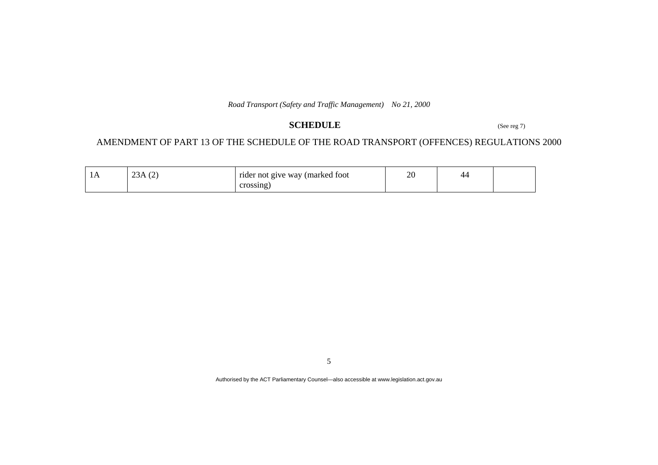*Road Transport (Safety and Traffic Management) No 21, 2000* 

# **SCHEDULE** (See reg 7)

# AMENDMENT OF PART 13 OF THE SCHEDULE OF THE ROAD TRANSPORT (OFFENCES) REGULATIONS 2000

| $\sqrt{2}$<br>$\sim$<br>23A<br>╰ | rider not give way (marked foot | ററ<br>$\angle$ |  |
|----------------------------------|---------------------------------|----------------|--|
|                                  | crossing                        |                |  |

5